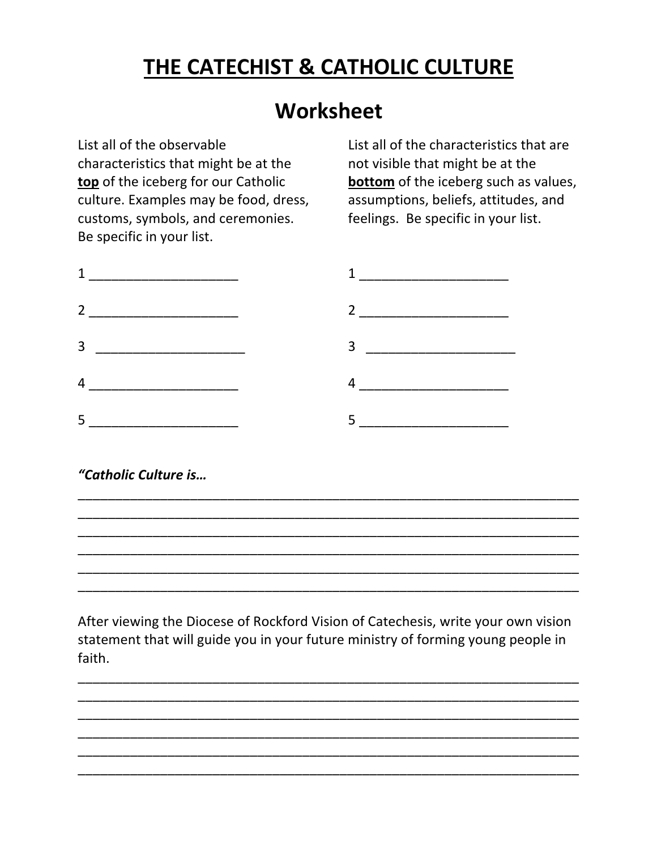## **THE CATECHIST & CATHOLIC CULTURE**

## **Worksheet**

List all of the observable characteristics that might be at the **top** of the iceberg for our Catholic culture. Examples may be food, dress, customs, symbols, and ceremonies. Be specific in your list.

List all of the characteristics that are not visible that might be at the **bottom** of the iceberg such as values, assumptions, beliefs, attitudes, and feelings. Be specific in your list.



## *"Catholic Culture is…*

After viewing the Diocese of Rockford Vision of Catechesis, write your own vision statement that will guide you in your future ministry of forming young people in faith.

\_\_\_\_\_\_\_\_\_\_\_\_\_\_\_\_\_\_\_\_\_\_\_\_\_\_\_\_\_\_\_\_\_\_\_\_\_\_\_\_\_\_\_\_\_\_\_\_\_\_\_\_\_\_\_\_\_\_\_\_\_\_\_\_\_\_\_ \_\_\_\_\_\_\_\_\_\_\_\_\_\_\_\_\_\_\_\_\_\_\_\_\_\_\_\_\_\_\_\_\_\_\_\_\_\_\_\_\_\_\_\_\_\_\_\_\_\_\_\_\_\_\_\_\_\_\_\_\_\_\_\_\_\_\_ \_\_\_\_\_\_\_\_\_\_\_\_\_\_\_\_\_\_\_\_\_\_\_\_\_\_\_\_\_\_\_\_\_\_\_\_\_\_\_\_\_\_\_\_\_\_\_\_\_\_\_\_\_\_\_\_\_\_\_\_\_\_\_\_\_\_\_ \_\_\_\_\_\_\_\_\_\_\_\_\_\_\_\_\_\_\_\_\_\_\_\_\_\_\_\_\_\_\_\_\_\_\_\_\_\_\_\_\_\_\_\_\_\_\_\_\_\_\_\_\_\_\_\_\_\_\_\_\_\_\_\_\_\_\_ \_\_\_\_\_\_\_\_\_\_\_\_\_\_\_\_\_\_\_\_\_\_\_\_\_\_\_\_\_\_\_\_\_\_\_\_\_\_\_\_\_\_\_\_\_\_\_\_\_\_\_\_\_\_\_\_\_\_\_\_\_\_\_\_\_\_\_ \_\_\_\_\_\_\_\_\_\_\_\_\_\_\_\_\_\_\_\_\_\_\_\_\_\_\_\_\_\_\_\_\_\_\_\_\_\_\_\_\_\_\_\_\_\_\_\_\_\_\_\_\_\_\_\_\_\_\_\_\_\_\_\_\_\_\_

\_\_\_\_\_\_\_\_\_\_\_\_\_\_\_\_\_\_\_\_\_\_\_\_\_\_\_\_\_\_\_\_\_\_\_\_\_\_\_\_\_\_\_\_\_\_\_\_\_\_\_\_\_\_\_\_\_\_\_\_\_\_\_\_\_\_\_ \_\_\_\_\_\_\_\_\_\_\_\_\_\_\_\_\_\_\_\_\_\_\_\_\_\_\_\_\_\_\_\_\_\_\_\_\_\_\_\_\_\_\_\_\_\_\_\_\_\_\_\_\_\_\_\_\_\_\_\_\_\_\_\_\_\_\_ \_\_\_\_\_\_\_\_\_\_\_\_\_\_\_\_\_\_\_\_\_\_\_\_\_\_\_\_\_\_\_\_\_\_\_\_\_\_\_\_\_\_\_\_\_\_\_\_\_\_\_\_\_\_\_\_\_\_\_\_\_\_\_\_\_\_\_ \_\_\_\_\_\_\_\_\_\_\_\_\_\_\_\_\_\_\_\_\_\_\_\_\_\_\_\_\_\_\_\_\_\_\_\_\_\_\_\_\_\_\_\_\_\_\_\_\_\_\_\_\_\_\_\_\_\_\_\_\_\_\_\_\_\_\_ \_\_\_\_\_\_\_\_\_\_\_\_\_\_\_\_\_\_\_\_\_\_\_\_\_\_\_\_\_\_\_\_\_\_\_\_\_\_\_\_\_\_\_\_\_\_\_\_\_\_\_\_\_\_\_\_\_\_\_\_\_\_\_\_\_\_\_ \_\_\_\_\_\_\_\_\_\_\_\_\_\_\_\_\_\_\_\_\_\_\_\_\_\_\_\_\_\_\_\_\_\_\_\_\_\_\_\_\_\_\_\_\_\_\_\_\_\_\_\_\_\_\_\_\_\_\_\_\_\_\_\_\_\_\_